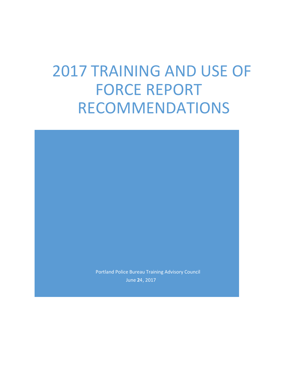# 2017 TRAINING AND USE OF FORCE REPORT RECOMMENDATIONS

Portland Police Bureau Training Advisory Council June 24, 2017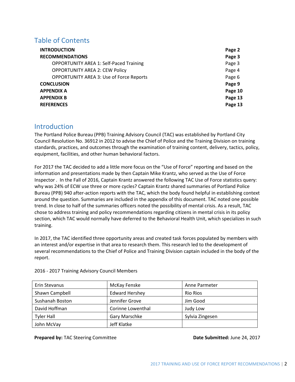# Table of Contents

| <b>INTRODUCTION</b>                             | Page 2  |
|-------------------------------------------------|---------|
| <b>RECOMMENDATIONS</b>                          | Page 3  |
| <b>OPPORTUNITY AREA 1: Self-Paced Training</b>  | Page 3  |
| <b>OPPORTUNITY AREA 2: CEW Policy</b>           | Page 4  |
| <b>OPPORTUNITY AREA 3: Use of Force Reports</b> | Page 6  |
| <b>CONCLUSION</b>                               | Page 9  |
| <b>APPENDIX A</b>                               | Page 10 |
| <b>APPENDIX B</b>                               | Page 13 |
| <b>REFERENCES</b>                               | Page 13 |

# **Introduction**

The Portland Police Bureau (PPB) Training Advisory Council (TAC) was established by Portland City Council Resolution No. 36912 in 2012 to advise the Chief of Police and the Training Division on training standards, practices, and outcomes through the examination of training content, delivery, tactics, policy, equipment, facilities, and other human behavioral factors.

For 2017 the TAC decided to add a little more focus on the "Use of Force" reporting and based on the information and presentations made by then Captain Mike Krantz, who served as the Use of Force Inspector . In the Fall of 2016, Captain Krantz answered the following TAC Use of Force statistics query: why was 24% of ECW use three or more cycles? Captain Krantz shared summaries of Portland Police Bureau (PPB) 940 after-action reports with the TAC, which the body found helpful in establishing context around the question. Summaries are included in the appendix of this document. TAC noted one possible trend. In close to half of the summaries officers noted the possibility of mental crisis. As a result, TAC chose to address training and policy recommendations regarding citizens in mental crisis in its policy section, which TAC would normally have deferred to the Behavioral Health Unit, which specializes in such training.

In 2017, the TAC identified three opportunity areas and created task forces populated by members with an interest and/or expertise in that area to research them. This research led to the development of several recommendations to the Chief of Police and Training Division captain included in the body of the report.

| Erin Stevanus     | McKay Fenske          | Anne Parmeter   |
|-------------------|-----------------------|-----------------|
| Shawn Campbell    | <b>Edward Hershey</b> | <b>Rio Rios</b> |
| Sushanah Boston   | Jennifer Grove        | Jim Good        |
| David Hoffman     | Corinne Lowenthal     | Judy Low        |
| <b>Tyler Hall</b> | Gary Marschke         | Sylvia Zingesen |
| John McVay        | Jeff Klatke           |                 |

2016 - 2017 Training Advisory Council Members

**Prepared by: TAC Steering Committee <b>Date Submitted:** June 24, 2017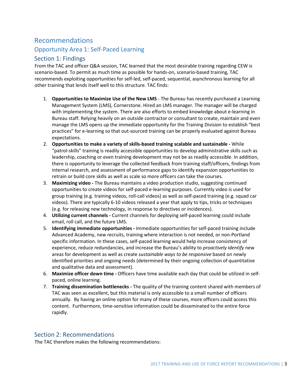# Recommendations Opportunity Area 1: Self-Paced Learning

# Section 1: Findings

From the TAC and officer Q&A session, TAC learned that the most desirable training regarding CEW is scenario-based. To permit as much time as possible for hands-on, scenario-based training, TAC recommends exploiting opportunities for self-led, self-paced, sequential, asynchronous learning for all other training that lends itself well to this structure. TAC finds:

- 1. **Opportunities to Maximize Use of the New LMS**  The Bureau has recently purchased a Learning Management System (LMS), Cornerstone. Hired an LMS manager. The manager will be charged with implementing the system. There are also efforts to embed knowledge about e-learning in Bureau staff. Relying heavily on an outside contractor or consultant to create, maintain and even manage the LMS opens up the immediate opportunity for the Training Division to establish "best practices" for e-learning so that out-sourced training can be properly evaluated against Bureau expectations.
- 2. **Opportunities to make a variety of skills-based training scalable and sustainable -** While "patrol-skills" training is readily accessible opportunities to develop administrative skills such as leadership, coaching or even training development may not be as readily accessible. In addition, there is opportunity to leverage the collected feedback from training staff/officers, findings from internal research, and assessment of performance gaps to identify expansion opportunities to retrain or build core skills as well as scale so more officers can take the courses.
- 3. **Maximizing video -** The Bureau maintains a video production studio, suggesting continued opportunities to create videos for self-paced e-learning purposes. Currently video is used for group training (e.g. training videos, roll-call videos) as well as self-paced training (e.g. squad car videos). There are typically 6-10 videos released a year that apply to tips, tricks or techniques (e.g. for releasing new technology, in response to directives or incidences).
- 4. **Utilizing current channels -** Current channels for deploying self-paced learning could include email, roll call, and the future LMS.
- 5. **Identifying immediate opportunities -** Immediate opportunities for self-paced training include Advanced Academy, new recruits, training where interaction is not needed, or non-Portland specific information. In these cases, self-paced learning would help increase consistency of experience, reduce redundancies, and increase the Bureau's ability to *proactively identify* new areas for development as well as create *sustainable ways to be responsive* based on newly identified priorities and ongoing needs (determined by their ongoing collection of quantitative and qualitative data and assessment).
- 6. **Maximize officer down time -** Officers have time available each day that could be utilized in selfpaced, online learning.
- 7. **Training dissemination bottlenecks -** The quality of the training content shared with members of TAC was seen as excellent, but this material is only accessible to a small number of officers annually. By having an online option for many of these courses, more officers could access this content. Furthermore, time-sensitive information could be disseminated to the entire force rapidly.

# Section 2: Recommendations

The TAC therefore makes the following recommendations: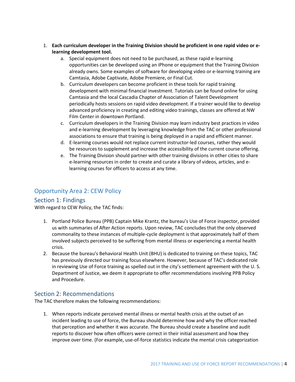- 1. **Each curriculum developer in the Training Division should be proficient in one rapid video or elearning development tool.** 
	- a. Special equipment does not need to be purchased, as these rapid e-learning opportunities can be developed using an iPhone or equipment that the Training Division already owns. Some examples of software for developing video or e-learning training are Camtasia, Adobe Captivate, Adobe Premiere, or Final Cut.
	- b. Curriculum developers can become proficient in these tools for rapid training development with minimal financial investment. Tutorials can be found online for using Camtasia and the local Cascadia Chapter of Association of Talent Development periodically hosts sessions on rapid video development. If a trainer would like to develop advanced proficiency in creating and editing video trainings, classes are offered at NW Film Center in downtown Portland.
	- c. Curriculum developers in the Training Division may learn industry best practices in video and e-learning development by leveraging knowledge from the TAC or other professional associations to ensure that training is being deployed in a rapid and efficient manner.
	- d. E-learning courses would not replace current instructor-led courses, rather they would be resources to supplement and increase the accessibility of the current course offering.
	- e. The Training Division should partner with other training divisions in other cities to share e-learning resources in order to create and curate a library of videos, articles, and elearning courses for officers to access at any time.

# Opportunity Area 2: CEW Policy

# Section 1: Findings

With regard to CEW Policy, the TAC finds:

- 1. Portland Police Bureau (PPB) Captain Mike Krantz, the bureau's Use of Force inspector, provided us with summaries of After Action reports. Upon review, TAC concludes that the only observed commonality to these instances of multiple-cycle deployment is that approximately half of them involved subjects perceived to be suffering from mental illness or experiencing a mental health crisis.
- 2. Because the bureau's Behavioral Health Unit (BHU) is dedicated to training on these topics, TAC has previously directed our training focus elsewhere. However, because of TAC's dedicated role in reviewing Use of Force training as spelled out in the city's settlement agreement with the U. S. Department of Justice, we deem it appropriate to offer recommendations involving PPB Policy and Procedure.

# Section 2: Recommendations

The TAC therefore makes the following recommendations:

1. When reports indicate perceived mental illness or mental health crisis at the outset of an incident leading to use of force, the Bureau should determine how and why the officer reached that perception and whether it was accurate. The Bureau should create a baseline and audit reports to discover how often officers were correct in their initial assessment and how they improve over time. (For example, use-of-force statistics indicate the mental crisis categorization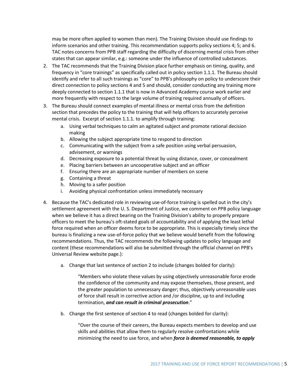may be more often applied to women than men). The Training Division should use findings to inform scenarios and other training. This recommendation supports policy sections 4; 5; and 6. TAC notes concerns from PPB staff regarding the difficulty of discerning mental crisis from other states that can appear similar, e.g.: someone under the influence of controlled substances.

- 2. The TAC recommends that the Training Division place further emphasis on timing, quality, and frequency in "core trainings" as specifically called out in policy section 1.1.1. The Bureau should identify and refer to all such trainings as "core" to PPB's philosophy on policy to underscore their direct connection to policy sections 4 and 5 and should, consider conducting any training more deeply connected to section 1.1.1 that is now in Advanced Academy course work earlier and more frequently with respect to the large volume of training required annually of officers.
- 3. The Bureau should connect examples of mental illness or mental crisis from the definition section that precedes the policy to the training that will help officers to accurately perceive mental crisis. Excerpt of section 1.1.1. to amplify through training:
	- a. Using verbal techniques to calm an agitated subject and promote rational decision making
	- b. Allowing the subject appropriate time to respond to direction
	- c. Communicating with the subject from a safe position using verbal persuasion, advisement, or warnings
	- d. Decreasing exposure to a potential threat by using distance, cover, or concealment
	- e. Placing barriers between an uncooperative subject and an officer
	- f. Ensuring there are an appropriate number of members on scene
	- g. Containing a threat
	- h. Moving to a safer position
	- i. Avoiding physical confrontation unless immediately necessary
- 4. Because the TAC's dedicated role in reviewing use-of-force training is spelled out in the city's settlement agreement with the U. S. Department of Justice, we comment on PPB policy language when we believe it has a direct bearing on the Training Division's ability to properly prepare officers to meet the bureau's oft-stated goals of accountability and of applying the least lethal force required when an officer deems force to be appropriate. This is especially timely since the bureau is finalizing a new use-of-force policy that we believe would benefit from the following recommendations. Thus, the TAC recommends the following updates to policy language and content (these recommendations will also be submitted through the official channel on PPB's Universal Review website page.):
	- a. Change that last sentence of section 2 to include (changes bolded for clarity):

"Members who violate these values by using objectively unreasonable force erode the confidence of the community and may expose themselves, those present, and the greater population to unnecessary danger; thus, objectively unreasonable uses of force shall result in corrective action and /or discipline, up to and including termination, *and can result in criminal prosecution*."

b. Change the first sentence of section 4 to read (changes bolded for clarity):

"Over the course of their careers, the Bureau expects members to develop and use skills and abilities that allow them to regularly resolve confrontations while minimizing the need to use force, and when *force is deemed reasonable, to apply*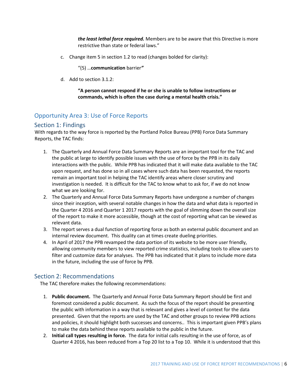*the least lethal force required.* Members are to be aware that this Directive is more restrictive than state or federal laws."

c. Change item 5 in section 1.2 to read (changes bolded for clarity):

"(5) …**communication** barrier*"*

d. Add to section 3.1.2:

**"A person cannot respond if he or she is unable to follow instructions or commands, which is often the case during a mental health crisis."**

# Opportunity Area 3: Use of Force Reports

### Section 1: Findings

With regards to the way force is reported by the Portland Police Bureau (PPB) Force Data Summary Reports, the TAC finds:

- 1. The Quarterly and Annual Force Data Summary Reports are an important tool for the TAC and the public at large to identify possible issues with the use of force by the PPB in its daily interactions with the public. While PPB has indicated that it will make data available to the TAC upon request, and has done so in all cases where such data has been requested, the reports remain an important tool in helping the TAC identify areas where closer scrutiny and investigation is needed. It is difficult for the TAC to know what to ask for, if we do not know what we are looking for.
- 2. The Quarterly and Annual Force Data Summary Reports have undergone a number of changes since their inception, with several notable changes in how the data and what data is reported in the Quarter 4 2016 and Quarter 1 2017 reports with the goal of slimming down the overall size of the report to make it more accessible, though at the cost of reporting what can be viewed as relevant data.
- 3. The report serves a dual function of reporting force as both an external public document and an internal review document. This duality can at times create dueling priorities.
- 4. In April of 2017 the PPB revamped the data portion of its website to be more user friendly, allowing community members to view reported crime statistics, including tools to allow users to filter and customize data for analyses. The PPB has indicated that it plans to include more data in the future, including the use of force by PPB.

# Section 2: Recommendations

The TAC therefore makes the following recommendations:

- 1. **Public document.** The Quarterly and Annual Force Data Summary Report should be first and foremost considered a public document. As such the focus of the report should be presenting the public with information in a way that is relevant and gives a level of context for the data presented. Given that the reports are used by the TAC and other groups to review PPB actions and policies, it should highlight both successes and concerns.. This is important given PPB's plans to make the data behind these reports available to the public in the future.
- 2. **Initial call types resulting in force.** The data for initial calls resulting in the use of force, as of Quarter 4 2016, has been reduced from a Top 20 list to a Top 10. While it is understood that this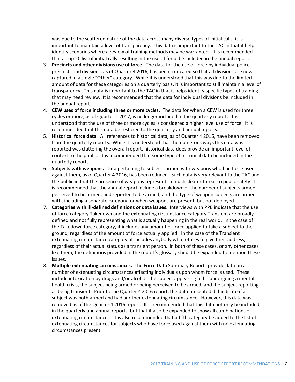was due to the scattered nature of the data across many diverse types of initial calls, it is important to maintain a level of transparency. This data is important to the TAC in that it helps identify scenarios where a review of training methods may be warranted. It is recommended that a Top 20 list of initial calls resulting in the use of force be included in the annual report.

- 3. **Precincts and other divisions use of force.** The data for the use of force by individual police precincts and divisions, as of Quarter 4 2016, has been truncated so that all divisions are now captured in a single "Other" category. While it is understood that this was due to the limited amount of data for these categories on a quarterly basis, it is important to still maintain a level of transparency. This data is important to the TAC in that it helps identify specific types of training that may need review. It is recommended that the data for individual divisions be included in the annual report.
- 4. **CEW uses of force including three or more cycles.** The data for when a CEW is used for three cycles or more, as of Quarter 1 2017, is no longer included in the quarterly report. It is understood that the use of three or more cycles is considered a higher level use of force. It is recommended that this data be restored to the quarterly and annual reports.
- 5. **Historical force data.** All references to historical data, as of Quarter 4 2016, have been removed from the quarterly reports. While it is understood that the numerous ways this data was reported was cluttering the overall report, historical data does provide an important level of context to the public. It is recommended that some type of historical data be included in the quarterly reports.
- 6. **Subjects with weapons.** Data pertaining to subjects armed with weapons who had force used against them, as of Quarter 4 2016, has been reduced. Such data is very relevant to the TAC and the public in that the presence of weapons represents a much clearer threat to public safety. It is recommended that the annual report include a breakdown of the number of subjects armed, perceived to be armed, and reported to be armed; and the type of weapon subjects are armed with, including a separate category for when weapons are present, but not deployed.
- 7. **Categories with ill-defined definitions or data issues.** Interviews with PPB indicate that the use of force category Takedown and the extenuating circumstance category Transient are broadly defined and not fully representing what is actually happening in the real world. In the case of the Takedown force category, it includes any amount of force applied to take a subject to the ground, regardless of the amount of force actually applied. In the case of the Transient extenuating circumstance category, it includes anybody who refuses to give their address, regardless of their actual status as a transient person. In both of these cases, or any other cases like them, the definitions provided in the report's glossary should be expanded to mention these issues.
- 8. **Multiple extenuating circumstances.** The Force Data Summary Reports provide data on a number of extenuating circumstances affecting individuals upon whom force is used. These include intoxication by drugs and/or alcohol, the subject appearing to be undergoing a mental health crisis, the subject being armed or being perceived to be armed, and the subject reporting as being transient. Prior to the Quarter 4 2016 report, the data presented did indicate if a subject was both armed and had another extenuating circumstance. However, this data was removed as of the Quarter 4 2016 report. It is recommended that this data not only be included in the quarterly and annual reports, but that it also be expanded to show all combinations of extenuating circumstances. It is also recommended that a fifth category be added to the list of extenuating circumstances for subjects who have force used against them with no extenuating circumstances present.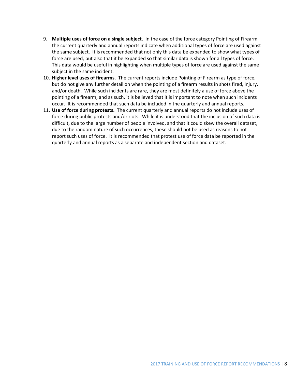- 9. **Multiple uses of force on a single subject.** In the case of the force category Pointing of Firearm the current quarterly and annual reports indicate when additional types of force are used against the same subject. It is recommended that not only this data be expanded to show what types of force are used, but also that it be expanded so that similar data is shown for all types of force. This data would be useful in highlighting when multiple types of force are used against the same subject in the same incident.
- 10. **Higher level uses of firearms.** The current reports include Pointing of Firearm as type of force, but do not give any further detail on when the pointing of a firearm results in shots fired, injury, and/or death. While such incidents are rare, they are most definitely a use of force above the pointing of a firearm, and as such, it is believed that it is important to note when such incidents occur. It is recommended that such data be included in the quarterly and annual reports.
- 11. **Use of force during protests.** The current quarterly and annual reports do not include uses of force during public protests and/or riots. While it is understood that the inclusion of such data is difficult, due to the large number of people involved, and that it could skew the overall dataset, due to the random nature of such occurrences, these should not be used as reasons to not report such uses of force. It is recommended that protest use of force data be reported in the quarterly and annual reports as a separate and independent section and dataset.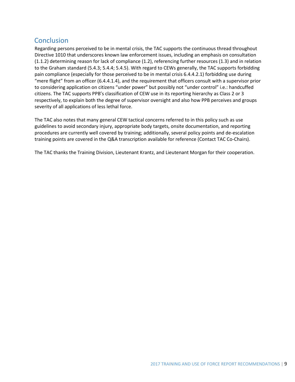# **Conclusion**

Regarding persons perceived to be in mental crisis, the TAC supports the continuous thread throughout Directive 1010 that underscores known law enforcement issues, including an emphasis on consultation (1.1.2) determining reason for lack of compliance (1.2), referencing further resources (1.3) and in relation to the Graham standard (5.4.3; 5.4.4; 5.4.5). With regard to CEWs generally, the TAC supports forbidding pain compliance (especially for those perceived to be in mental crisis 6.4.4.2.1) forbidding use during "mere flight" from an officer (6.4.4.1.4), and the requirement that officers consult with a supervisor prior to considering application on citizens "under power" but possibly not "under control" i.e.: handcuffed citizens. The TAC supports PPB's classification of CEW use in its reporting hierarchy as Class 2 or 3 respectively, to explain both the degree of supervisor oversight and also how PPB perceives and groups severity of all applications of less lethal force.

The TAC also notes that many general CEW tactical concerns referred to in this policy such as use guidelines to avoid secondary injury, appropriate body targets, onsite documentation, and reporting procedures are currently well covered by training; additionally, several policy points and de-escalation training points are covered in the Q&A transcription available for reference (Contact TAC Co-Chairs).

The TAC thanks the Training Division, Lieutenant Krantz, and Lieutenant Morgan for their cooperation.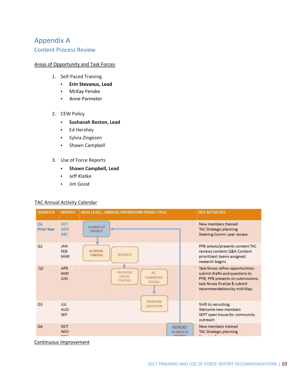# Appendix A

### Content Process Review

### Areas of Opportunity and Task Forces

- 1. Self-Paced Training
	- **Erin Stevanus, Lead**
	- McKay Fenske
	- Anne Parmeter
- 2. CEW Policy
	- **Sushanah Boston, Lead**
	- Ed Hershey
	- Sylvia Zingesen
	- Shawn Campbell
- 3. Use of Force Reports
	- **Shawn Campbell, Lead**
	- Jeff Klatke
	- Jim Good

### TAC Annual Activity Calendar



Continuous Improvement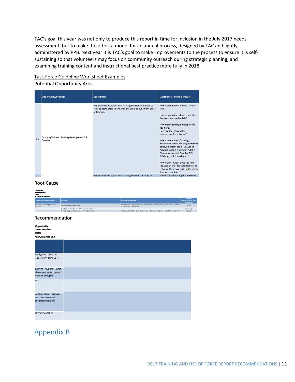TAC's goal this year was not only to produce this report in time for inclusion in the July 2017 needs assessment, but to make the effort a model for an annual process, designed by TAC and lightly administered by PPB. Next year it is TAC's goal to make improvements to the process to ensure it is selfsustaining so that volunteers may focus on community outreach during strategic planning, and examining training content and instructional best practice more fully in 2018.

### Task Force Guideline Worksheet Examples Potential Opportunity Area

|     | <b>Opportunity/Problem</b>                                               | <b>Description</b>                                                                                                                      | <b>Questions / Potential Impact</b>                                                                                                                                                                                                                                                                                                                                                                                                                                                                                                                                     |
|-----|--------------------------------------------------------------------------|-----------------------------------------------------------------------------------------------------------------------------------------|-------------------------------------------------------------------------------------------------------------------------------------------------------------------------------------------------------------------------------------------------------------------------------------------------------------------------------------------------------------------------------------------------------------------------------------------------------------------------------------------------------------------------------------------------------------------------|
| 1.1 | <b>Coaching Trainers - Training Development Skill</b><br><b>Boosting</b> | PPB Statement: Agree. The Training Division continues to<br>seek opportunities to enhance the skills of our sworn cadre<br>of trainers. | How many trainers do you have on<br>staff?<br>How many trainers have curriculum<br>development credentials?<br>How many training developers do<br>you have?<br>How are these two roles<br>separated/differentiated?<br>How many trainers/training<br>developers have knowledge/mastery<br>of development tools (i.e. Adobe<br>Acrobat, Adobe Illustrator, Adobe<br>Photoshop, Adobe Premier, MS<br>Publisher, MS PowerPoint)?<br>How many courses does the PPB<br>sponsor or offer for their trainers to<br>enhance their own skills in the above<br>development tools? |
|     |                                                                          | PPB Statement: Agree. The Training Division Is willing to                                                                               | Who is spearheading this initiative                                                                                                                                                                                                                                                                                                                                                                                                                                                                                                                                     |

### Root Cause

| Opportunity:<br><b>Tram Members:</b><br>Date:<br><b>ROOT CAUSE ANALYSIS</b> |                                                                                                    |                                                                                                                                                                                                                                |                                                       |
|-----------------------------------------------------------------------------|----------------------------------------------------------------------------------------------------|--------------------------------------------------------------------------------------------------------------------------------------------------------------------------------------------------------------------------------|-------------------------------------------------------|
| Opportunity/Sub-Opportunity:                                                | Root Couse                                                                                         | <b>Figures</b> (If applicable)                                                                                                                                                                                                 | Category,<br>(People, Process, Policy,<br>Technology) |
| TPS reports are taking too long to<br>complete.                             | Processors do not know 10 key.                                                                     | 5 of the 7 processing employees do not know 10 key and are taking 50% more time to process<br>the reports than the other 2.                                                                                                    | People                                                |
|                                                                             | They have laptops that do not have a number key pad                                                |                                                                                                                                                                                                                                | Technology                                            |
|                                                                             | The second control of the second control of the second control of the second control of the second | A TAXABLE CONTRACTOR IN A DISTURBANCE OF A REPORT OF A TAXABLE CONTRACTOR OF A DISTURBANCE OF A REPORT OF A DISTURBANCE OF A REPORT OF A REPORT OF A REPORT OF A REPORT OF A REPORT OF A REPORT OF A REPORT OF A REPORT OF A R | <b>UNITED STATES</b>                                  |

#### Recommendation

| <b>Opportunity:</b><br><b>Team Members:</b>   |  |  |
|-----------------------------------------------|--|--|
| Date:                                         |  |  |
| <b>OPPORTUNITY LIST</b>                       |  |  |
|                                               |  |  |
| Background (How the                           |  |  |
| opportunity came up?):                        |  |  |
| <b>Current Conditions (What is</b>            |  |  |
| the current state that we<br>want to change?) |  |  |
| Goal                                          |  |  |
| Analysis (What research                       |  |  |
| was done to reach a<br>recommendation?)       |  |  |
| Recommendation                                |  |  |

Appendix B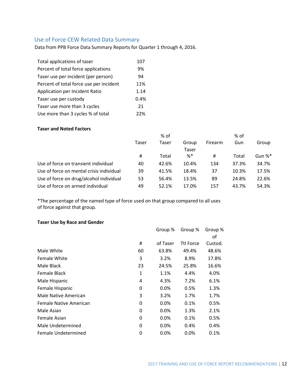### Use of Force CEW Related Data Summary

Data from PPB Force Data Summary Reports for Quarter 1 through 4, 2016.

| Total applications of taser             | 107  |
|-----------------------------------------|------|
| Percent of total force applications     | 9%   |
| Taser use per incident (per person)     | 94   |
| Percent of total force use per incident | 11%  |
| Application per Incident Ratio          | 1.14 |
| Taser use per custody                   | 0.4% |
| Taser use more than 3 cycles            | 21   |
| Use more than 3 cycles % of total       | 22%  |

### **Taser and Noted Factors**

|                                          | % of  |       |        | % of    |       |        |
|------------------------------------------|-------|-------|--------|---------|-------|--------|
|                                          | Taser | Taser | Group  | Firearm | Gun   | Group  |
|                                          |       |       | Taser  |         |       |        |
|                                          | #     | Total | $\% *$ | Ħ       | Total | Gun %* |
| Use of force on transient individual     | 40    | 42.6% | 10.4%  | 134     | 37.3% | 34.7%  |
| Use of force on mental crisis individual | 39    | 41.5% | 18.4%  | 37      | 10.3% | 17.5%  |
| Use of force on drug/alcohol individual  | 53    | 56.4% | 13.5%  | 89      | 24.8% | 22.6%  |
| Use of force on armed individual         | 49    | 52.1% | 17.0%  | 157     | 43.7% | 54.3%  |

\*The percentage of the named type of force used on that group compared to all uses of force against that group.

### **Taser Use by Race and Gender**

|                        |    | Group %  | Group %          | Group % |
|------------------------|----|----------|------------------|---------|
|                        |    |          |                  | οf      |
|                        | #  | of Taser | <b>Ttl Force</b> | Custod. |
| Male White             | 60 | 63.8%    | 49.4%            | 48.6%   |
| Female White           | 3  | 3.2%     | 8.9%             | 17.8%   |
| Male Black             | 23 | 24.5%    | 25.8%            | 16.6%   |
| Female Black           | 1  | 1.1%     | 4.4%             | 4.0%    |
| Male Hispanic          | 4  | 4.3%     | 7.2%             | 6.1%    |
| Female Hispanic        | 0  | $0.0\%$  | 0.5%             | 1.3%    |
| Male Native American   | 3  | 3.2%     | 1.7%             | 1.7%    |
| Female Native American | 0  | 0.0%     | 0.1%             | 0.5%    |
| Male Asian             | 0  | 0.0%     | 1.3%             | 2.1%    |
| Female Asian           | 0  | $0.0\%$  | 0.1%             | 0.5%    |
| Male Undetermined      | 0  | 0.0%     | 0.4%             | 0.4%    |
| Female Undetermined    | 0  | 0.0%     | 0.0%             | 0.1%    |